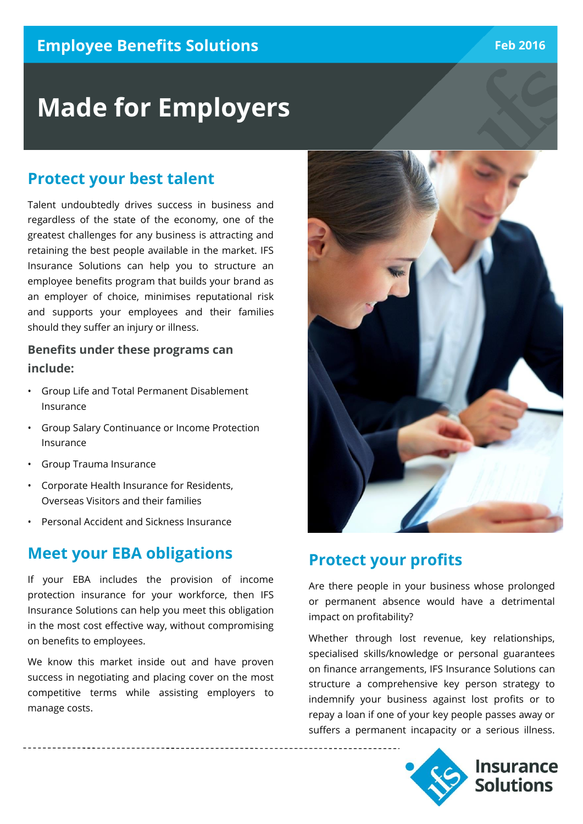# **Made for Employers**

## **Protect your best talent**

Talent undoubtedly drives success in business and regardless of the state of the economy, one of the greatest challenges for any business is attracting and retaining the best people available in the market. IFS Insurance Solutions can help you to structure an employee benefits program that builds your brand as an employer of choice, minimises reputational risk and supports your employees and their families should they suffer an injury or illness.

#### **Benefits under these programs can include:**

- Group Life and Total Permanent Disablement Insurance
- Group Salary Continuance or Income Protection Insurance
- Group Trauma Insurance
- Corporate Health Insurance for Residents, Overseas Visitors and their families
- Personal Accident and Sickness Insurance

## **Meet your EBA obligations**

If your EBA includes the provision of income protection insurance for your workforce, then IFS Insurance Solutions can help you meet this obligation in the most cost effective way, without compromising on benefits to employees.

We know this market inside out and have proven success in negotiating and placing cover on the most competitive terms while assisting employers to manage costs.



## **Protect your profits**

Are there people in your business whose prolonged or permanent absence would have a detrimental impact on profitability?

Whether through lost revenue, key relationships, specialised skills/knowledge or personal guarantees on finance arrangements, IFS Insurance Solutions can structure a comprehensive key person strategy to indemnify your business against lost profits or to repay a loan if one of your key people passes away or suffers a permanent incapacity or a serious illness.